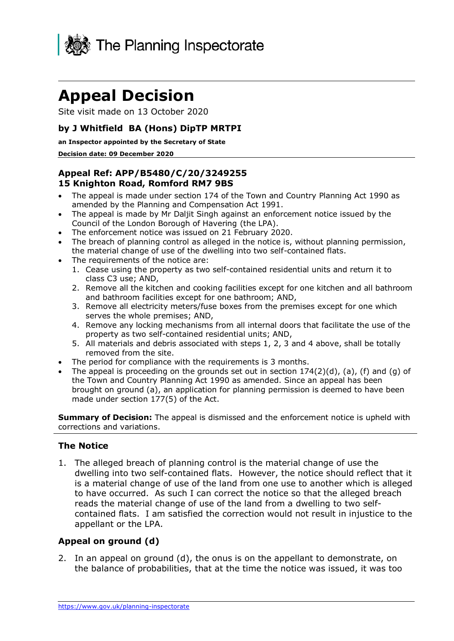

# **Appeal Decision**

Site visit made on 13 October 2020

#### **by J Whitfield BA (Hons) DipTP MRTPI**

#### **an Inspector appointed by the Secretary of State**

#### **Decision date: 09 December 2020**

#### **Appeal Ref: APP/B5480/C/20/3249255 15 Knighton Road, Romford RM7 9BS**

- • The appeal is made under section 174 of the Town and Country Planning Act 1990 as amended by the Planning and Compensation Act 1991.
- • The appeal is made by Mr Daljit Singh against an enforcement notice issued by the Council of the London Borough of Havering (the LPA).
- The enforcement notice was issued on 21 February 2020.
- • The breach of planning control as alleged in the notice is, without planning permission, the material change of use of the dwelling into two self-contained flats.
- The requirements of the notice are:
	- 1. Cease using the property as two self-contained residential units and return it to class C3 use; AND,
	- 2. Remove all the kitchen and cooking facilities except for one kitchen and all bathroom and bathroom facilities except for one bathroom; AND,
	- 3. Remove all electricity meters/fuse boxes from the premises except for one which serves the whole premises; AND,
	- 4. Remove any locking mechanisms from all internal doors that facilitate the use of the property as two self-contained residential units; AND,
	- 5. All materials and debris associated with steps 1, 2, 3 and 4 above, shall be totally removed from the site.
- The period for compliance with the requirements is 3 months.
- The appeal is proceeding on the grounds set out in section  $174(2)(d)$ , (a), (f) and (g) of the Town and Country Planning Act 1990 as amended. Since an appeal has been brought on ground (a), an application for planning permission is deemed to have been made under section 177(5) of the Act.

**Summary of Decision:** The appeal is dismissed and the enforcement notice is upheld with corrections and variations.

#### **The Notice**

 1. The alleged breach of planning control is the material change of use the dwelling into two self-contained flats. However, the notice should reflect that it is a material change of use of the land from one use to another which is alleged to have occurred. As such I can correct the notice so that the alleged breach reads the material change of use of the land from a dwelling to two self- contained flats. I am satisfied the correction would not result in injustice to the appellant or the LPA.

## **Appeal on ground (d)**

 2. In an appeal on ground (d), the onus is on the appellant to demonstrate, on the balance of probabilities, that at the time the notice was issued, it was too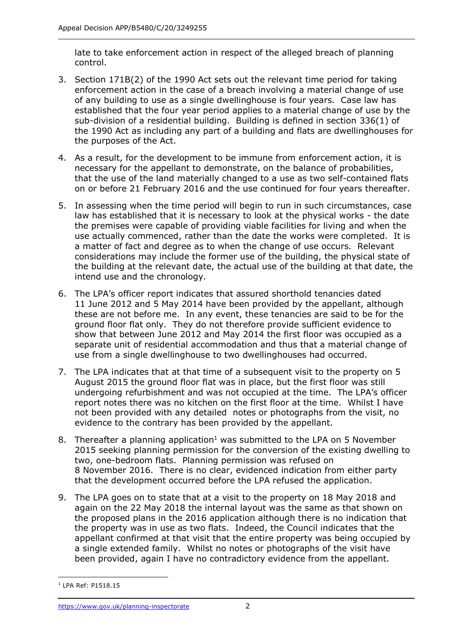late to take enforcement action in respect of the alleged breach of planning control.

- control. 3. Section 171B(2) of the 1990 Act sets out the relevant time period for taking enforcement action in the case of a breach involving a material change of use of any building to use as a single dwellinghouse is four years. Case law has established that the four year period applies to a material change of use by the sub-division of a residential building. Building is defined in section 336(1) of the 1990 Act as including any part of a building and flats are dwellinghouses for the purposes of the Act.
- 4. As a result, for the development to be immune from enforcement action, it is necessary for the appellant to demonstrate, on the balance of probabilities, that the use of the land materially changed to a use as two self-contained flats on or before 21 February 2016 and the use continued for four years thereafter.
- 5. In assessing when the time period will begin to run in such circumstances, case law has established that it is necessary to look at the physical works - the date the premises were capable of providing viable facilities for living and when the use actually commenced, rather than the date the works were completed. It is a matter of fact and degree as to when the change of use occurs. Relevant considerations may include the former use of the building, the physical state of the building at the relevant date, the actual use of the building at that date, the intend use and the chronology.
- 6. The LPA's officer report indicates that assured shorthold tenancies dated 11 June 2012 and 5 May 2014 have been provided by the appellant, although these are not before me. In any event, these tenancies are said to be for the ground floor flat only. They do not therefore provide sufficient evidence to show that between June 2012 and May 2014 the first floor was occupied as a separate unit of residential accommodation and thus that a material change of use from a single dwellinghouse to two dwellinghouses had occurred.
- 7. The LPA indicates that at that time of a subsequent visit to the property on 5 August 2015 the ground floor flat was in place, but the first floor was still undergoing refurbishment and was not occupied at the time. The LPA's officer report notes there was no kitchen on the first floor at the time. Whilst I have not been provided with any detailed notes or photographs from the visit, no evidence to the contrary has been provided by the appellant.
- 8. Thereafter a planning application<sup>1</sup> was submitted to the LPA on 5 November 2015 seeking planning permission for the conversion of the existing dwelling to two, one-bedroom flats. Planning permission was refused on 8 November 2016. There is no clear, evidenced indication from either party that the development occurred before the LPA refused the application.
- 9. The LPA goes on to state that at a visit to the property on 18 May 2018 and again on the 22 May 2018 the internal layout was the same as that shown on the proposed plans in the 2016 application although there is no indication that the property was in use as two flats. Indeed, the Council indicates that the appellant confirmed at that visit that the entire property was being occupied by a single extended family. Whilst no notes or photographs of the visit have been provided, again I have no contradictory evidence from the appellant.

<sup>1</sup> LPA Ref: P1518.15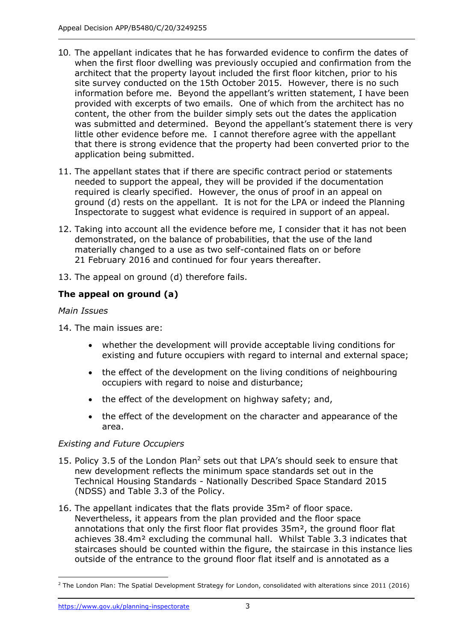- 10. The appellant indicates that he has forwarded evidence to confirm the dates of when the first floor dwelling was previously occupied and confirmation from the architect that the property layout included the first floor kitchen, prior to his site survey conducted on the 15th October 2015. However, there is no such information before me. Beyond the appellant's written statement, I have been provided with excerpts of two emails. One of which from the architect has no content, the other from the builder simply sets out the dates the application was submitted and determined. Beyond the appellant's statement there is very little other evidence before me. I cannot therefore agree with the appellant that there is strong evidence that the property had been converted prior to the application being submitted.
- 11. The appellant states that if there are specific contract period or statements needed to support the appeal, they will be provided if the documentation required is clearly specified. However, the onus of proof in an appeal on ground (d) rests on the appellant. It is not for the LPA or indeed the Planning Inspectorate to suggest what evidence is required in support of an appeal.
- 12. Taking into account all the evidence before me, I consider that it has not been demonstrated, on the balance of probabilities, that the use of the land materially changed to a use as two self-contained flats on or before 21 February 2016 and continued for four years thereafter.
- 13. The appeal on ground (d) therefore fails.

# **The appeal on ground (a)**

## *Main Issues*

14. The main issues are:

- • whether the development will provide acceptable living conditions for existing and future occupiers with regard to internal and external space;
- • the effect of the development on the living conditions of neighbouring occupiers with regard to noise and disturbance;
- the effect of the development on highway safety; and,
- • the effect of the development on the character and appearance of the area.

## *Existing and Future Occupiers*

- 15. Policy 3.5 of the London Plan<sup>2</sup> sets out that LPA's should seek to ensure that new development reflects the minimum space standards set out in the Technical Housing Standards - Nationally Described Space Standard 2015 (NDSS) and Table 3.3 of the Policy.
- 16. The appellant indicates that the flats provide 35m² of floor space. Nevertheless, it appears from the plan provided and the floor space annotations that only the first floor flat provides 35m², the ground floor flat achieves 38.4m² excluding the communal hall. Whilst Table 3.3 indicates that staircases should be counted within the figure, the staircase in this instance lies outside of the entrance to the ground floor flat itself and is annotated as a

 $2$  The London Plan: The Spatial Development Strategy for London, consolidated with alterations since 2011 (2016)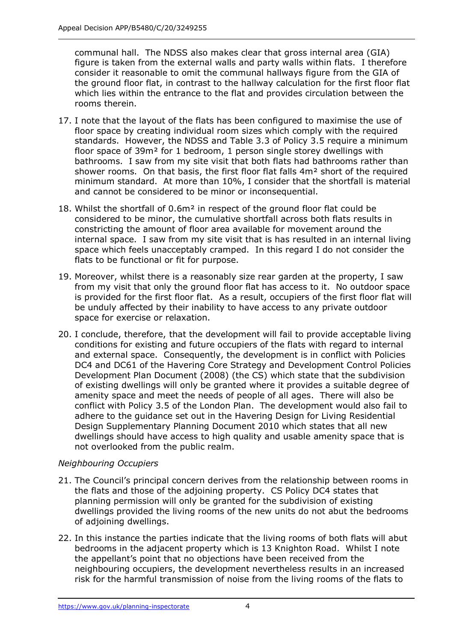communal hall. The NDSS also makes clear that gross internal area (GIA) figure is taken from the external walls and party walls within flats. I therefore the ground floor flat, in contrast to the hallway calculation for the first floor flat which lies within the entrance to the flat and provides circulation between the consider it reasonable to omit the communal hallways figure from the GIA of rooms therein.

- 17. I note that the layout of the flats has been configured to maximise the use of floor space by creating individual room sizes which comply with the required standards. However, the NDSS and Table 3.3 of Policy 3.5 require a minimum floor space of 39m² for 1 bedroom, 1 person single storey dwellings with bathrooms. I saw from my site visit that both flats had bathrooms rather than shower rooms. On that basis, the first floor flat falls 4m² short of the required minimum standard. At more than 10%, I consider that the shortfall is material and cannot be considered to be minor or inconsequential.
- 18. Whilst the shortfall of 0.6m² in respect of the ground floor flat could be considered to be minor, the cumulative shortfall across both flats results in constricting the amount of floor area available for movement around the internal space. I saw from my site visit that is has resulted in an internal living space which feels unacceptably cramped. In this regard I do not consider the flats to be functional or fit for purpose.
- 19. Moreover, whilst there is a reasonably size rear garden at the property, I saw from my visit that only the ground floor flat has access to it. No outdoor space is provided for the first floor flat. As a result, occupiers of the first floor flat will be unduly affected by their inability to have access to any private outdoor space for exercise or relaxation.
- 20. I conclude, therefore, that the development will fail to provide acceptable living conditions for existing and future occupiers of the flats with regard to internal and external space. Consequently, the development is in conflict with Policies DC4 and DC61 of the Havering Core Strategy and Development Control Policies of existing dwellings will only be granted where it provides a suitable degree of amenity space and meet the needs of people of all ages. There will also be conflict with Policy 3.5 of the London Plan. The development would also fail to adhere to the guidance set out in the Havering Design for Living Residential Design Supplementary Planning Document 2010 which states that all new dwellings should have access to high quality and usable amenity space that is not overlooked from the public realm. Development Plan Document (2008) (the CS) which state that the subdivision

## *Neighbouring Occupiers*

- 21. The Council's principal concern derives from the relationship between rooms in the flats and those of the adjoining property. CS Policy DC4 states that planning permission will only be granted for the subdivision of existing dwellings provided the living rooms of the new units do not abut the bedrooms of adjoining dwellings.
- 22. In this instance the parties indicate that the living rooms of both flats will abut bedrooms in the adjacent property which is 13 Knighton Road. Whilst I note the appellant's point that no objections have been received from the neighbouring occupiers, the development nevertheless results in an increased risk for the harmful transmission of noise from the living rooms of the flats to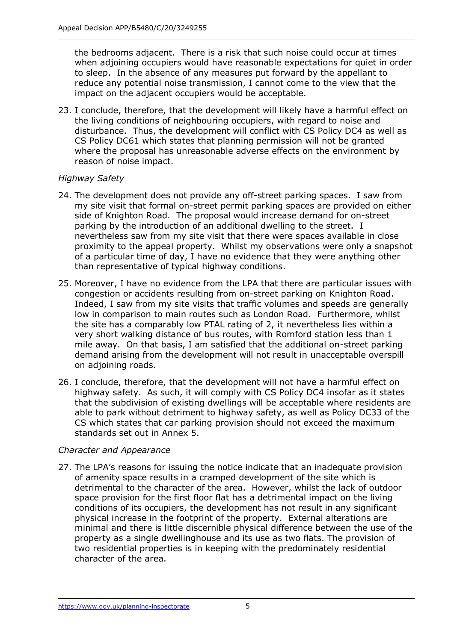the bedrooms adjacent. There is a risk that such noise could occur at times when adjoining occupiers would have reasonable expectations for quiet in order to sleep. In the absence of any measures put forward by the appellant to reduce any potential noise transmission, I cannot come to the view that the impact on the adjacent occupiers would be acceptable.

 23. I conclude, therefore, that the development will likely have a harmful effect on the living conditions of neighbouring occupiers, with regard to noise and disturbance. Thus, the development will conflict with CS Policy DC4 as well as CS Policy DC61 which states that planning permission will not be granted where the proposal has unreasonable adverse effects on the environment by reason of noise impact.

#### *Highway Safety*

- 24. The development does not provide any off-street parking spaces. I saw from my site visit that formal on-street permit parking spaces are provided on either side of Knighton Road. The proposal would increase demand for on-street parking by the introduction of an additional dwelling to the street. I nevertheless saw from my site visit that there were spaces available in close proximity to the appeal property. Whilst my observations were only a snapshot of a particular time of day, I have no evidence that they were anything other than representative of typical highway conditions.
- 25. Moreover, I have no evidence from the LPA that there are particular issues with congestion or accidents resulting from on-street parking on Knighton Road. congestion or accidents resulting from on-street parking on Knighton Road.<br>Indeed, I saw from my site visits that traffic volumes and speeds are generally low in comparison to main routes such as London Road. Furthermore, whilst the site has a comparably low PTAL rating of 2, it nevertheless lies within a very short walking distance of bus routes, with Romford station less than 1 mile away. On that basis, I am satisfied that the additional on-street parking demand arising from the development will not result in unacceptable overspill on adjoining roads.
- 26. I conclude, therefore, that the development will not have a harmful effect on highway safety. As such, it will comply with CS Policy DC4 insofar as it states that the subdivision of existing dwellings will be acceptable where residents are able to park without detriment to highway safety, as well as Policy DC33 of the CS which states that car parking provision should not exceed the maximum standards set out in Annex 5.

## *Character and Appearance*

 27. The LPA's reasons for issuing the notice indicate that an inadequate provision of amenity space results in a cramped development of the site which is detrimental to the character of the area. However, whilst the lack of outdoor space provision for the first floor flat has a detrimental impact on the living conditions of its occupiers, the development has not result in any significant physical increase in the footprint of the property. External alterations are minimal and there is little discernible physical difference between the use of the property as a single dwellinghouse and its use as two flats. The provision of two residential properties is in keeping with the predominately residential character of the area.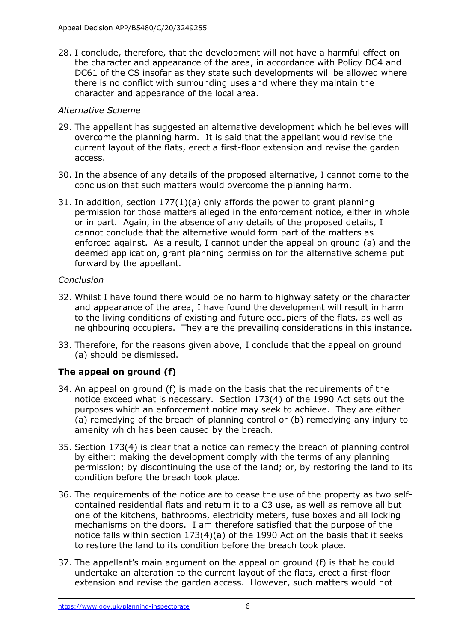28. I conclude, therefore, that the development will not have a harmful effect on the character and appearance of the area, in accordance with Policy DC4 and DC61 of the CS insofar as they state such developments will be allowed where there is no conflict with surrounding uses and where they maintain the character and appearance of the local area.

## *Alternative Scheme*

- 29. The appellant has suggested an alternative development which he believes will overcome the planning harm. It is said that the appellant would revise the current layout of the flats, erect a first-floor extension and revise the garden access.
- 30. In the absence of any details of the proposed alternative, I cannot come to the conclusion that such matters would overcome the planning harm.
- 31. In addition, section 177(1)(a) only affords the power to grant planning permission for those matters alleged in the enforcement notice, either in whole or in part. Again, in the absence of any details of the proposed details, I cannot conclude that the alternative would form part of the matters as enforced against. As a result, I cannot under the appeal on ground (a) and the deemed application, grant planning permission for the alternative scheme put forward by the appellant.

## *Conclusion*

- 32. Whilst I have found there would be no harm to highway safety or the character and appearance of the area, I have found the development will result in harm to the living conditions of existing and future occupiers of the flats, as well as neighbouring occupiers. They are the prevailing considerations in this instance.
- 33. Therefore, for the reasons given above, I conclude that the appeal on ground (a) should be dismissed.

# **The appeal on ground (f)**

- 34. An appeal on ground (f) is made on the basis that the requirements of the notice exceed what is necessary. Section 173(4) of the 1990 Act sets out the purposes which an enforcement notice may seek to achieve. They are either (a) remedying of the breach of planning control or (b) remedying any injury to amenity which has been caused by the breach.
- 35. Section 173(4) is clear that a notice can remedy the breach of planning control by either: making the development comply with the terms of any planning permission; by discontinuing the use of the land; or, by restoring the land to its condition before the breach took place.
- 36. The requirements of the notice are to cease the use of the property as two self- contained residential flats and return it to a C3 use, as well as remove all but one of the kitchens, bathrooms, electricity meters, fuse boxes and all locking mechanisms on the doors. I am therefore satisfied that the purpose of the notice falls within section 173(4)(a) of the 1990 Act on the basis that it seeks to restore the land to its condition before the breach took place.
- 37. The appellant's main argument on the appeal on ground (f) is that he could undertake an alteration to the current layout of the flats, erect a first-floor extension and revise the garden access. However, such matters would not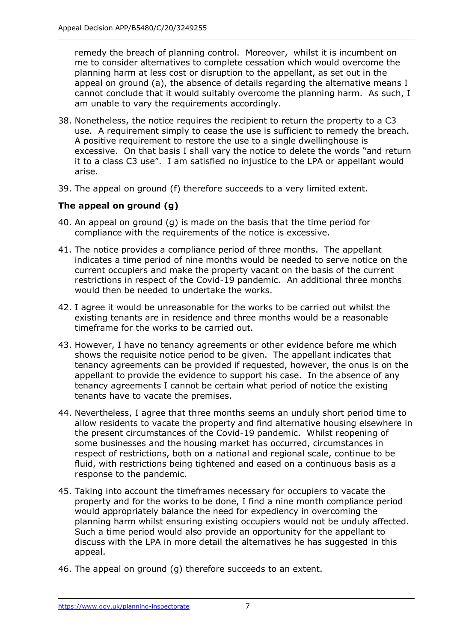remedy the breach of planning control. Moreover, whilst it is incumbent on me to consider alternatives to complete cessation which would overcome the planning harm at less cost or disruption to the appellant, as set out in the appeal on ground (a), the absence of details regarding the alternative means I cannot conclude that it would suitably overcome the planning harm. As such, I am unable to vary the requirements accordingly.

- 38. Nonetheless, the notice requires the recipient to return the property to a C3 use. A requirement simply to cease the use is sufficient to remedy the breach. A positive requirement to restore the use to a single dwellinghouse is excessive. On that basis I shall vary the notice to delete the words "and return it to a class C3 use". I am satisfied no injustice to the LPA or appellant would arise.
- 39. The appeal on ground (f) therefore succeeds to a very limited extent.

## **The appeal on ground (g)**

- 40. An appeal on ground (g) is made on the basis that the time period for compliance with the requirements of the notice is excessive.
- 41. The notice provides a compliance period of three months. The appellant indicates a time period of nine months would be needed to serve notice on the current occupiers and make the property vacant on the basis of the current restrictions in respect of the Covid-19 pandemic. An additional three months would then be needed to undertake the works.
- 42. I agree it would be unreasonable for the works to be carried out whilst the existing tenants are in residence and three months would be a reasonable timeframe for the works to be carried out.
- 43. However, I have no tenancy agreements or other evidence before me which shows the requisite notice period to be given. The appellant indicates that tenancy agreements can be provided if requested, however, the onus is on the appellant to provide the evidence to support his case. In the absence of any tenancy agreements I cannot be certain what period of notice the existing tenants have to vacate the premises.
- 44. Nevertheless, I agree that three months seems an unduly short period time to allow residents to vacate the property and find alternative housing elsewhere in the present circumstances of the Covid-19 pandemic. Whilst reopening of some businesses and the housing market has occurred, circumstances in respect of restrictions, both on a national and regional scale, continue to be fluid, with restrictions being tightened and eased on a continuous basis as a response to the pandemic.
- 45. Taking into account the timeframes necessary for occupiers to vacate the property and for the works to be done, I find a nine month compliance period would appropriately balance the need for expediency in overcoming the planning harm whilst ensuring existing occupiers would not be unduly affected. Such a time period would also provide an opportunity for the appellant to discuss with the LPA in more detail the alternatives he has suggested in this appeal.
- 46. The appeal on ground (g) therefore succeeds to an extent.